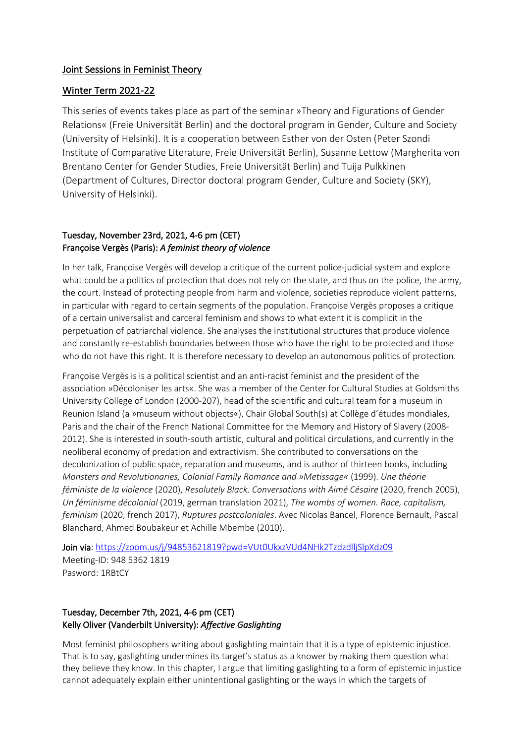#### Joint Sessions in Feminist Theory

#### Winter Term 2021-22

This series of events takes place as part of the seminar »Theory and Figurations of Gender Relations« (Freie Universität Berlin) and the doctoral program in Gender, Culture and Society (University of Helsinki). It is a cooperation between Esther von der Osten (Peter Szondi Institute of Comparative Literature, Freie Universität Berlin), Susanne Lettow (Margherita von Brentano Center for Gender Studies, Freie Universität Berlin) and Tuija Pulkkinen (Department of Cultures, Director doctoral program Gender, Culture and Society (SKY), University of Helsinki).

### Tuesday, November 23rd, 2021, 4-6 pm (CET) Françoise Vergès (Paris): *A feminist theory of violence*

In her talk, Françoise Vergès will develop a critique of the current police-judicial system and explore what could be a politics of protection that does not rely on the state, and thus on the police, the army, the court. Instead of protecting people from harm and violence, societies reproduce violent patterns, in particular with regard to certain segments of the population. Françoise Vergès proposes a critique of a certain universalist and carceral feminism and shows to what extent it is complicit in the perpetuation of patriarchal violence. She analyses the institutional structures that produce violence and constantly re-establish boundaries between those who have the right to be protected and those who do not have this right. It is therefore necessary to develop an autonomous politics of protection.

Françoise Vergès is is a political scientist and an anti-racist feminist and the president of the association »Décoloniser les arts«. She was a member of the Center for Cultural Studies at Goldsmiths University College of London (2000-207), head of the scientific and cultural team for a museum in Reunion Island (a »museum without objects«), Chair Global South(s) at Collège d'études mondiales, Paris and the chair of the French National Committee for the Memory and History of Slavery (2008- 2012). She is interested in south-south artistic, cultural and political circulations, and currently in the neoliberal economy of predation and extractivism. She contributed to conversations on the decolonization of public space, reparation and museums, and is author of thirteen books, including *Monsters and Revolutionaries, Colonial Family Romance and »Metissage«* (1999). *Une théorie féministe de la violence* (2020), *Resolutely Black. Conversations with Aimé Césaire* (2020, french 2005), *Un féminisme décolonial* (2019, german translation 2021), *The wombs of women. Race, capitalism, feminism* (2020, french 2017), *Ruptures postcoloniales*. Avec Nicolas Bancel, Florence Bernault, Pascal Blanchard, Ahmed Boubakeur et Achille Mbembe (2010).

Join via: https://zoom.us/j/94853621819?pwd=VUt0UkxzVUd4NHk2TzdzdlljSlpXdz09 Meeting-ID: 948 5362 1819 Pasword: 1RBtCY

#### Tuesday, December 7th, 2021, 4-6 pm (CET) Kelly Oliver (Vanderbilt University): *Affective Gaslighting*

Most feminist philosophers writing about gaslighting maintain that it is a type of epistemic injustice. That is to say, gaslighting undermines its target's status as a knower by making them question what they believe they know. In this chapter, I argue that limiting gaslighting to a form of epistemic injustice cannot adequately explain either unintentional gaslighting or the ways in which the targets of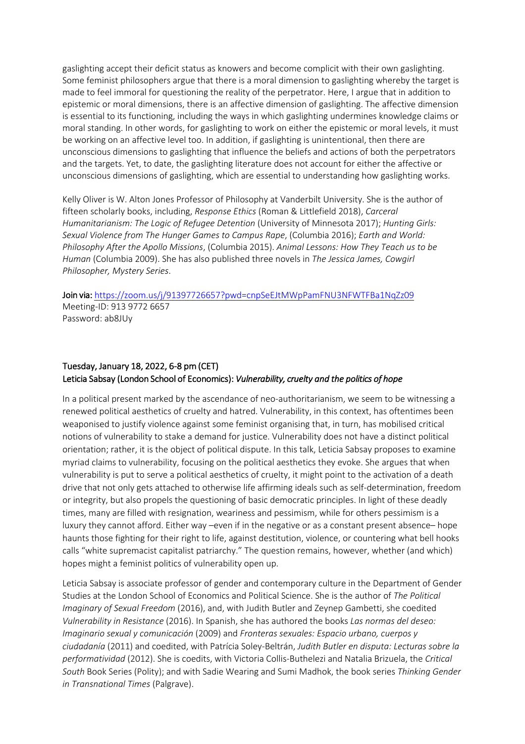gaslighting accept their deficit status as knowers and become complicit with their own gaslighting. Some feminist philosophers argue that there is a moral dimension to gaslighting whereby the target is made to feel immoral for questioning the reality of the perpetrator. Here, I argue that in addition to epistemic or moral dimensions, there is an affective dimension of gaslighting. The affective dimension is essential to its functioning, including the ways in which gaslighting undermines knowledge claims or moral standing. In other words, for gaslighting to work on either the epistemic or moral levels, it must be working on an affective level too. In addition, if gaslighting is unintentional, then there are unconscious dimensions to gaslighting that influence the beliefs and actions of both the perpetrators and the targets. Yet, to date, the gaslighting literature does not account for either the affective or unconscious dimensions of gaslighting, which are essential to understanding how gaslighting works.

Kelly Oliver is W. Alton Jones Professor of Philosophy at Vanderbilt University. She is the author of fifteen scholarly books, including, *Response Ethics* (Roman & Littlefield 2018), *Carceral Humanitarianism: The Logic of Refugee Detention* (University of Minnesota 2017); *Hunting Girls: Sexual Violence from The Hunger Games to Campus Rape*, (Columbia 2016); *Earth and World: Philosophy After the Apollo Missions*, (Columbia 2015). *Animal Lessons: How They Teach us to be Human* (Columbia 2009). She has also published three novels in *The Jessica James, Cowgirl Philosopher, Mystery Series*.

Join via: https://zoom.us/j/91397726657?pwd=cnpSeEJtMWpPamFNU3NFWTFBa1NqZz09 Meeting-ID: 913 9772 6657

Password: ab8JUy

## Tuesday, January 18, 2022, 6-8 pm (CET) Leticia Sabsay (London School of Economics): *Vulnerability, cruelty and the politics of hope*

In a political present marked by the ascendance of neo-authoritarianism, we seem to be witnessing a renewed political aesthetics of cruelty and hatred. Vulnerability, in this context, has oftentimes been weaponised to justify violence against some feminist organising that, in turn, has mobilised critical notions of vulnerability to stake a demand for justice. Vulnerability does not have a distinct political orientation; rather, it is the object of political dispute. In this talk, Leticia Sabsay proposes to examine myriad claims to vulnerability, focusing on the political aesthetics they evoke. She argues that when vulnerability is put to serve a political aesthetics of cruelty, it might point to the activation of a death drive that not only gets attached to otherwise life affirming ideals such as self-determination, freedom or integrity, but also propels the questioning of basic democratic principles. In light of these deadly times, many are filled with resignation, weariness and pessimism, while for others pessimism is a luxury they cannot afford. Either way –even if in the negative or as a constant present absence– hope haunts those fighting for their right to life, against destitution, violence, or countering what bell hooks calls "white supremacist capitalist patriarchy." The question remains, however, whether (and which) hopes might a feminist politics of vulnerability open up.

Leticia Sabsay is associate professor of gender and contemporary culture in the Department of Gender Studies at the London School of Economics and Political Science. She is the author of *The Political Imaginary of Sexual Freedom* (2016), and, with Judith Butler and Zeynep Gambetti, she coedited *Vulnerability in Resistance* (2016). In Spanish, she has authored the books *Las normas del deseo: Imaginario sexual y comunicación* (2009) and *Fronteras sexuales: Espacio urbano, cuerpos y ciudadanía* (2011) and coedited, with Patrícia Soley-Beltrán, *Judith Butler en disputa: Lecturas sobre la performatividad* (2012). She is coedits, with Victoria Collis-Buthelezi and Natalia Brizuela, the *Critical South* Book Series (Polity); and with Sadie Wearing and Sumi Madhok, the book series *Thinking Gender in Transnational Times* (Palgrave).